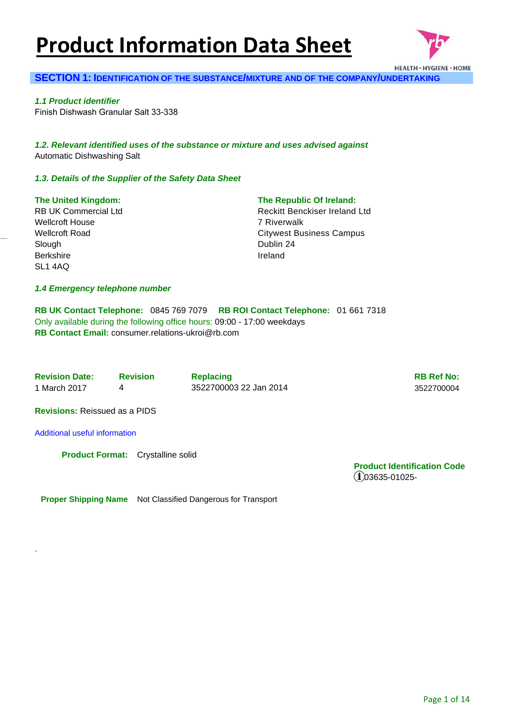# **Product Information Data Sheet**



#### **SECTION 1: IDENTIFICATION OF THE SUBSTANCE/MIXTURE AND OF THE COMPANY/UNDERTAKING**

*1.1 Product identifier*  Finish Dishwash Granular Salt 33-338

*1.2. Relevant identified uses of the substance or mixture and uses advised against* Automatic Dishwashing Salt

#### *1.3. Details of the Supplier of the Safety Data Sheet*

#### **The United Kingdom:**

RB UK Commercial Ltd Wellcroft House Wellcroft Road Slough **Berkshire** SL1 4AQ

#### **The Republic Of Ireland:**

Reckitt Benckiser Ireland Ltd 7 Riverwalk Citywest Business Campus Dublin 24 Ireland

#### *1.4 Emergency telephone number*

**RB UK Contact Telephone:** 0845 769 7079 **RB ROI Contact Telephone:** 01 661 7318 Only available during the following office hours: 09:00 - 17:00 weekdays **RB Contact Email:** consumer.relations-ukroi@rb.com

**Revision Date:** Revision Replacing RB Ref No: **RB Ref No: RB Ref No:** 1 March 2017 4 3522700003 22 Jan 2014 3522700004

**Revisions:** Reissued as a PIDS

Additional useful information

.

**Product Format:** Crystalline solid

**Product Identification Code**   $(i)$ 03635-01025-

**Proper Shipping Name** Not Classified Dangerous for Transport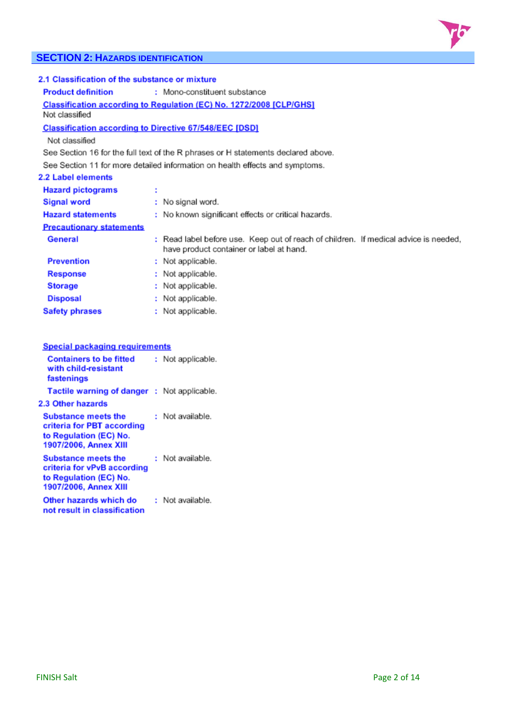

### **SECTION 2: HAZARDS IDENTIFICATION**

| 2.1 Classification of the substance or mixture                |                              |                                                                                                                                  |  |  |  |  |
|---------------------------------------------------------------|------------------------------|----------------------------------------------------------------------------------------------------------------------------------|--|--|--|--|
| <b>Product definition</b>                                     | : Mono-constituent substance |                                                                                                                                  |  |  |  |  |
| Not classified                                                |                              | <b>Classification according to Regulation (EC) No. 1272/2008 [CLP/GHS]</b>                                                       |  |  |  |  |
| <b>Classification according to Directive 67/548/EEC [DSD]</b> |                              |                                                                                                                                  |  |  |  |  |
| Not classified                                                |                              |                                                                                                                                  |  |  |  |  |
|                                                               |                              | See Section 16 for the full text of the R phrases or H statements declared above.                                                |  |  |  |  |
|                                                               |                              | See Section 11 for more detailed information on health effects and symptoms.                                                     |  |  |  |  |
| 2.2 Label elements                                            |                              |                                                                                                                                  |  |  |  |  |
| <b>Hazard pictograms</b>                                      | ÷                            |                                                                                                                                  |  |  |  |  |
| <b>Signal word</b>                                            |                              | : No signal word.                                                                                                                |  |  |  |  |
| <b>Hazard statements</b>                                      |                              | : No known significant effects or critical hazards.                                                                              |  |  |  |  |
| <b>Precautionary statements</b>                               |                              |                                                                                                                                  |  |  |  |  |
| General                                                       |                              | : Read label before use. Keep out of reach of children. If medical advice is needed,<br>have product container or label at hand. |  |  |  |  |
| <b>Prevention</b>                                             |                              | : Not applicable.                                                                                                                |  |  |  |  |
| <b>Response</b>                                               |                              | : Not applicable.                                                                                                                |  |  |  |  |
| <b>Storage</b>                                                |                              | : Not applicable.                                                                                                                |  |  |  |  |
| <b>Disposal</b>                                               |                              | : Not applicable.                                                                                                                |  |  |  |  |
| <b>Safety phrases</b>                                         |                              | : Not applicable.                                                                                                                |  |  |  |  |
|                                                               |                              |                                                                                                                                  |  |  |  |  |

| Special packaging requirements                                                                               |                   |
|--------------------------------------------------------------------------------------------------------------|-------------------|
| <b>Containers to be fitted</b><br>with child-resistant<br>fastenings                                         | : Not applicable. |
| Tactile warning of danger : Not applicable.                                                                  |                   |
| 2.3 Other hazards                                                                                            |                   |
| <b>Substance meets the</b><br>criteria for PBT according<br>to Regulation (EC) No.<br>1907/2006, Annex XIII  | : Not available.  |
| <b>Substance meets the</b><br>criteria for vPvB according<br>to Regulation (EC) No.<br>1907/2006, Annex XIII | : Not available.  |
| Other hazards which do<br>not result in classification                                                       | Not available.    |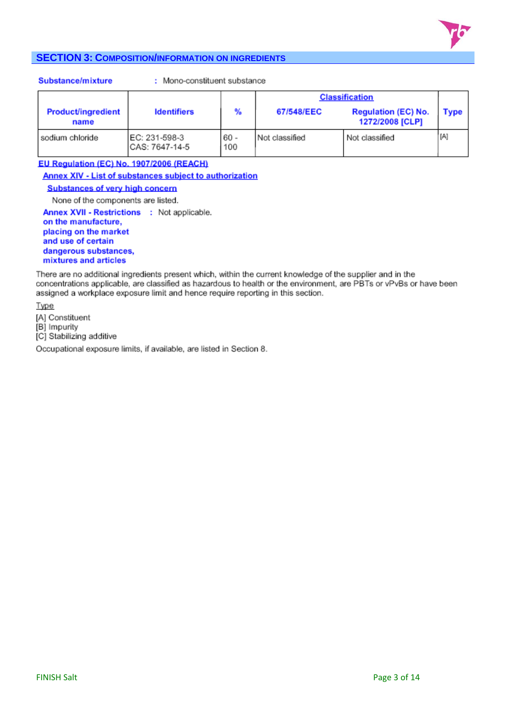

#### **SECTION 3: COMPOSITION/INFORMATION ON INGREDIENTS**

#### Substance/mixture

: Mono-constituent substance

|                                   |                                  |               | <b>Classification</b> |                                               |      |  |
|-----------------------------------|----------------------------------|---------------|-----------------------|-----------------------------------------------|------|--|
| <b>Product/ingredient</b><br>name | <b>Identifiers</b>               | %             | 67/548/EEC            | <b>Regulation (EC) No.</b><br>1272/2008 [CLP] | Type |  |
| sodium chloride                   | EC: 231-598-3<br>ICAS: 7647-14-5 | $60 -$<br>100 | Not classified        | Not classified                                | [A]  |  |

EU Regulation (EC) No. 1907/2006 (REACH) Annex XIV - List of substances subject to authorization

#### **Substances of very high concern**

None of the components are listed.

Annex XVII - Restrictions : Not applicable. on the manufacture, placing on the market and use of certain dangerous substances, mixtures and articles

There are no additional ingredients present which, within the current knowledge of the supplier and in the concentrations applicable, are classified as hazardous to health or the environment, are PBTs or vPvBs or have been assigned a workplace exposure limit and hence require reporting in this section.

Type

[A] Constituent

[B] Impurity

[C] Stabilizing additive

Occupational exposure limits, if available, are listed in Section 8.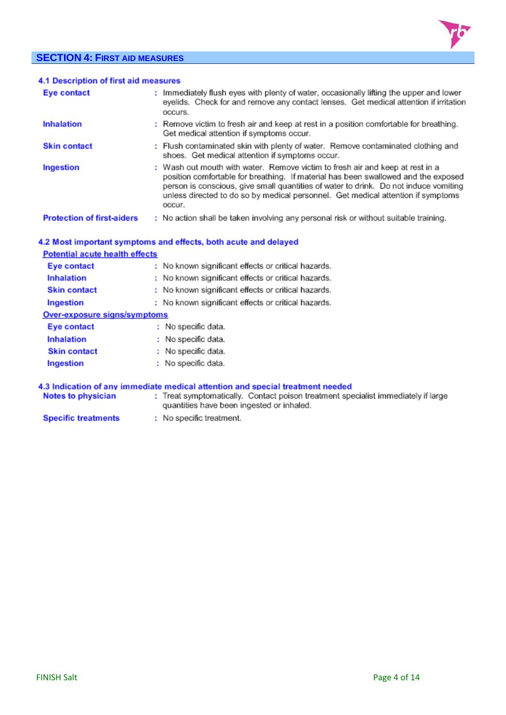### **SECTION 4: FIRST AID MEASURES**



| 4.1 Description of first aid measures |                                                                                                                                                                                                                                                                                                                                                           |
|---------------------------------------|-----------------------------------------------------------------------------------------------------------------------------------------------------------------------------------------------------------------------------------------------------------------------------------------------------------------------------------------------------------|
| <b>Eye contact</b>                    | : Immediately flush eyes with plenty of water, occasionally lifting the upper and lower<br>eyelids. Check for and remove any contact lenses. Get medical attention if irritation<br>occurs.                                                                                                                                                               |
| <b>Inhalation</b>                     | : Remove victim to fresh air and keep at rest in a position comfortable for breathing.<br>Get medical attention if symptoms occur.                                                                                                                                                                                                                        |
| <b>Skin contact</b>                   | : Flush contaminated skin with plenty of water. Remove contaminated clothing and<br>shoes. Get medical attention if symptoms occur.                                                                                                                                                                                                                       |
| Ingestion                             | : Wash out mouth with water. Remove victim to fresh air and keep at rest in a<br>position comfortable for breathing. If material has been swallowed and the exposed<br>person is conscious, give small quantities of water to drink. Do not induce vomiting<br>unless directed to do so by medical personnel. Get medical attention if symptoms<br>occur. |
| <b>Protection of first-aiders</b>     | : No action shall be taken involving any personal risk or without suitable training.                                                                                                                                                                                                                                                                      |

#### 4.2 Most important symptoms and effects, both acute and delayed

| <b>Potential acute health effects</b> |                                                     |
|---------------------------------------|-----------------------------------------------------|
| Eye contact                           | : No known significant effects or critical hazards. |
| <b>Inhalation</b>                     | : No known significant effects or critical hazards. |
| <b>Skin contact</b>                   | : No known significant effects or critical hazards. |
| Ingestion                             | : No known significant effects or critical hazards. |
| Over-exposure signs/symptoms          |                                                     |
| Eye contact                           | No specific data.                                   |
| <b>Inhalation</b>                     | No specific data.                                   |
| <b>Skin contact</b>                   | No specific data.                                   |
| Ingestion                             | : No specific data.                                 |

#### 4.3 Indication of any immediate medical attention and special treatment needed

| <b>Notes to physician</b> |                                           | Treat symptomatically. Contact poison treatment specialist immediately if large |  |
|---------------------------|-------------------------------------------|---------------------------------------------------------------------------------|--|
|                           | quantities have been ingested or inhaled. |                                                                                 |  |

Specific treatments : No specific treatment.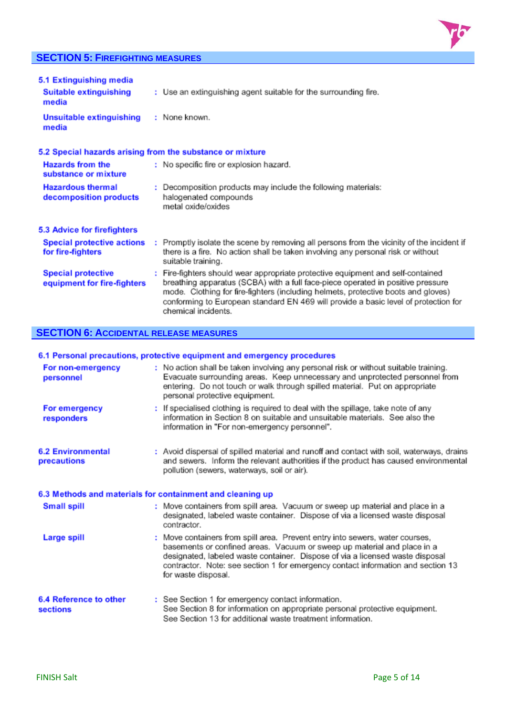### **SECTION 5: FIREFIGHTING MEASURES**



| 5.1 Extinguishing media<br>Suitable extinguishing<br>media | : Use an extinguishing agent suitable for the surrounding fire.                                                                                                                                                                                                                                                                                                       |
|------------------------------------------------------------|-----------------------------------------------------------------------------------------------------------------------------------------------------------------------------------------------------------------------------------------------------------------------------------------------------------------------------------------------------------------------|
| Unsuitable extinguishing<br>media                          | : None known.                                                                                                                                                                                                                                                                                                                                                         |
| 5.2 Special hazards arising from the substance or mixture  |                                                                                                                                                                                                                                                                                                                                                                       |
| <b>Hazards from the</b><br>substance or mixture            | : No specific fire or explosion hazard.                                                                                                                                                                                                                                                                                                                               |
| <b>Hazardous thermal</b><br>decomposition products         | : Decomposition products may include the following materials:<br>halogenated compounds<br>metal oxide/oxides                                                                                                                                                                                                                                                          |
| 5.3 Advice for firefighters                                |                                                                                                                                                                                                                                                                                                                                                                       |
| <b>Special protective actions</b><br>for fire-fighters     | : Promptly isolate the scene by removing all persons from the vicinity of the incident if<br>there is a fire. No action shall be taken involving any personal risk or without<br>suitable training.                                                                                                                                                                   |
| <b>Special protective</b><br>equipment for fire-fighters   | : Fire-fighters should wear appropriate protective equipment and self-contained<br>breathing apparatus (SCBA) with a full face-piece operated in positive pressure<br>mode. Clothing for fire-fighters (including helmets, protective boots and gloves)<br>conforming to European standard EN 469 will provide a basic level of protection for<br>chemical incidents. |

### **SECTION 6: ACCIDENTAL RELEASE MEASURES**

#### 6.1 Personal precautions, protective equipment and emergency procedures

| For non-emergency<br>personnel          | : No action shall be taken involving any personal risk or without suitable training.<br>Evacuate surrounding areas. Keep unnecessary and unprotected personnel from<br>entering. Do not touch or walk through spilled material. Put on appropriate<br>personal protective equipment.                                                                |
|-----------------------------------------|-----------------------------------------------------------------------------------------------------------------------------------------------------------------------------------------------------------------------------------------------------------------------------------------------------------------------------------------------------|
| For emergency<br>responders             | : If specialised clothing is required to deal with the spillage, take note of any<br>information in Section 8 on suitable and unsuitable materials. See also the<br>information in "For non-emergency personnel".                                                                                                                                   |
| <b>6.2 Environmental</b><br>precautions | : Avoid dispersal of spilled material and runoff and contact with soil, waterways, drains<br>and sewers. Inform the relevant authorities if the product has caused environmental<br>pollution (sewers, waterways, soil or air).                                                                                                                     |
|                                         | 6.3 Methods and materials for containment and cleaning up                                                                                                                                                                                                                                                                                           |
| <b>Small spill</b>                      | : Move containers from spill area. Vacuum or sweep up material and place in a<br>designated, labeled waste container. Dispose of via a licensed waste disposal<br>contractor.                                                                                                                                                                       |
| <b>Large spill</b>                      | : Move containers from spill area. Prevent entry into sewers, water courses,<br>basements or confined areas. Vacuum or sweep up material and place in a<br>designated, labeled waste container. Dispose of via a licensed waste disposal<br>contractor. Note: see section 1 for emergency contact information and section 13<br>for waste disposal. |
| 6.4 Reference to other<br>sections      | : See Section 1 for emergency contact information.<br>See Section 8 for information on appropriate personal protective equipment.<br>See Section 13 for additional waste treatment information.                                                                                                                                                     |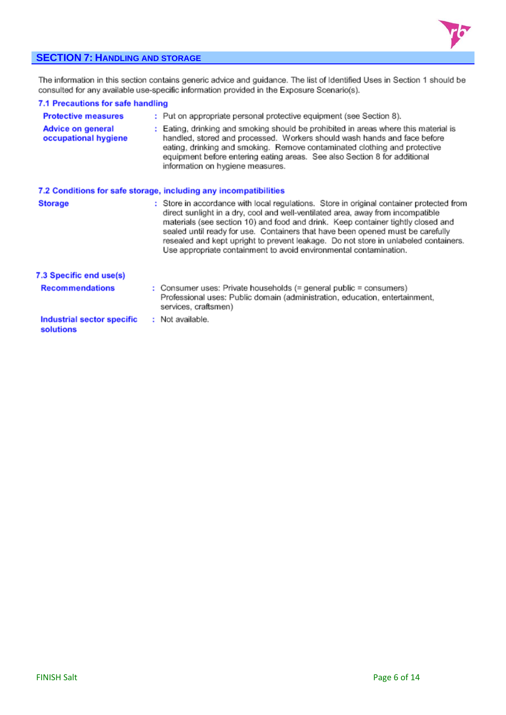

#### **SECTION 7: HANDLING AND STORAGE**

The information in this section contains generic advice and guidance. The list of Identified Uses in Section 1 should be consulted for any available use-specific information provided in the Exposure Scenario(s).

| 7.1 Precautions for safe handling         |                                                                                                                                                                                                                                                                                                                                                                                                                                                                                                               |
|-------------------------------------------|---------------------------------------------------------------------------------------------------------------------------------------------------------------------------------------------------------------------------------------------------------------------------------------------------------------------------------------------------------------------------------------------------------------------------------------------------------------------------------------------------------------|
| <b>Protective measures</b>                | : Put on appropriate personal protective equipment (see Section 8).                                                                                                                                                                                                                                                                                                                                                                                                                                           |
| Advice on general<br>occupational hygiene | : Eating, drinking and smoking should be prohibited in areas where this material is<br>handled, stored and processed. Workers should wash hands and face before<br>eating, drinking and smoking. Remove contaminated clothing and protective<br>equipment before entering eating areas. See also Section 8 for additional<br>information on hygiene measures.                                                                                                                                                 |
|                                           | 7.2 Conditions for safe storage, including any incompatibilities                                                                                                                                                                                                                                                                                                                                                                                                                                              |
| <b>Storage</b>                            | : Store in accordance with local regulations. Store in original container protected from<br>direct sunlight in a dry, cool and well-ventilated area, away from incompatible<br>materials (see section 10) and food and drink. Keep container tightly closed and<br>sealed until ready for use. Containers that have been opened must be carefully<br>resealed and kept upright to prevent leakage. Do not store in unlabeled containers.<br>Use appropriate containment to avoid environmental contamination. |
| 7.3 Specific end use(s)                   |                                                                                                                                                                                                                                                                                                                                                                                                                                                                                                               |
| <b>Recommendations</b>                    | : Consumer uses: Private households $(=$ general public $=$ consumers)<br>Professional uses: Public domain (administration, education, entertainment,<br>services, craftsmen)                                                                                                                                                                                                                                                                                                                                 |
| Industrial sector specific<br>solutions   | : Not available.                                                                                                                                                                                                                                                                                                                                                                                                                                                                                              |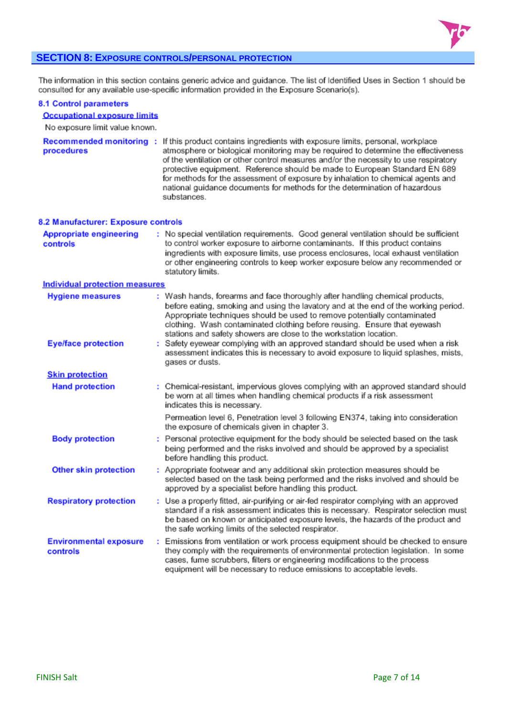

#### **SECTION 8: EXPOSURE CONTROLS/PERSONAL PROTECTION**

The information in this section contains generic advice and guidance. The list of Identified Uses in Section 1 should be consulted for any available use-specific information provided in the Exposure Scenario(s).

#### **8.1 Control parameters**

#### **Occupational exposure limits**

No exposure limit value known.

| procedures                                 | Recommended monitoring : If this product contains ingredients with exposure limits, personal, workplace<br>atmosphere or biological monitoring may be required to determine the effectiveness<br>of the ventilation or other control measures and/or the necessity to use respiratory<br>protective equipment. Reference should be made to European Standard EN 689<br>for methods for the assessment of exposure by inhalation to chemical agents and<br>national guidance documents for methods for the determination of hazardous<br>substances. |
|--------------------------------------------|-----------------------------------------------------------------------------------------------------------------------------------------------------------------------------------------------------------------------------------------------------------------------------------------------------------------------------------------------------------------------------------------------------------------------------------------------------------------------------------------------------------------------------------------------------|
| 8.2 Manufacturer: Exposure controls        |                                                                                                                                                                                                                                                                                                                                                                                                                                                                                                                                                     |
| <b>Appropriate engineering</b><br>controls | : No special ventilation requirements. Good general ventilation should be sufficient<br>to control worker exposure to airborne contaminants. If this product contains<br>ingredients with exposure limits, use process enclosures, local exhaust ventilation<br>or other engineering controls to keep worker exposure below any recommended or<br>statutory limits.                                                                                                                                                                                 |
| <b>Individual protection measures</b>      |                                                                                                                                                                                                                                                                                                                                                                                                                                                                                                                                                     |
| <b>Hygiene measures</b>                    | : Wash hands, forearms and face thoroughly after handling chemical products,<br>before eating, smoking and using the lavatory and at the end of the working period.<br>Appropriate techniques should be used to remove potentially contaminated<br>clothing. Wash contaminated clothing before reusing. Ensure that eyewash<br>stations and safety showers are close to the workstation location.                                                                                                                                                   |
| <b>Eye/face protection</b>                 | : Safety eyewear complying with an approved standard should be used when a risk<br>assessment indicates this is necessary to avoid exposure to liquid splashes, mists,<br>gases or dusts.                                                                                                                                                                                                                                                                                                                                                           |
| <b>Skin protection</b>                     |                                                                                                                                                                                                                                                                                                                                                                                                                                                                                                                                                     |
| <b>Hand protection</b>                     | : Chemical-resistant, impervious gloves complying with an approved standard should<br>be worn at all times when handling chemical products if a risk assessment<br>indicates this is necessary.                                                                                                                                                                                                                                                                                                                                                     |
|                                            | Permeation level 6, Penetration level 3 following EN374, taking into consideration<br>the exposure of chemicals given in chapter 3.                                                                                                                                                                                                                                                                                                                                                                                                                 |
| <b>Body protection</b>                     | : Personal protective equipment for the body should be selected based on the task<br>being performed and the risks involved and should be approved by a specialist<br>before handling this product.                                                                                                                                                                                                                                                                                                                                                 |
| <b>Other skin protection</b>               | : Appropriate footwear and any additional skin protection measures should be<br>selected based on the task being performed and the risks involved and should be<br>approved by a specialist before handling this product.                                                                                                                                                                                                                                                                                                                           |
| <b>Respiratory protection</b>              | : Use a properly fitted, air-purifying or air-fed respirator complying with an approved<br>standard if a risk assessment indicates this is necessary. Respirator selection must<br>be based on known or anticipated exposure levels, the hazards of the product and<br>the safe working limits of the selected respirator.                                                                                                                                                                                                                          |
| <b>Environmental exposure</b><br>controls  | : Emissions from ventilation or work process equipment should be checked to ensure<br>they comply with the requirements of environmental protection legislation. In some<br>cases, fume scrubbers, filters or engineering modifications to the process<br>equipment will be necessary to reduce emissions to acceptable levels.                                                                                                                                                                                                                     |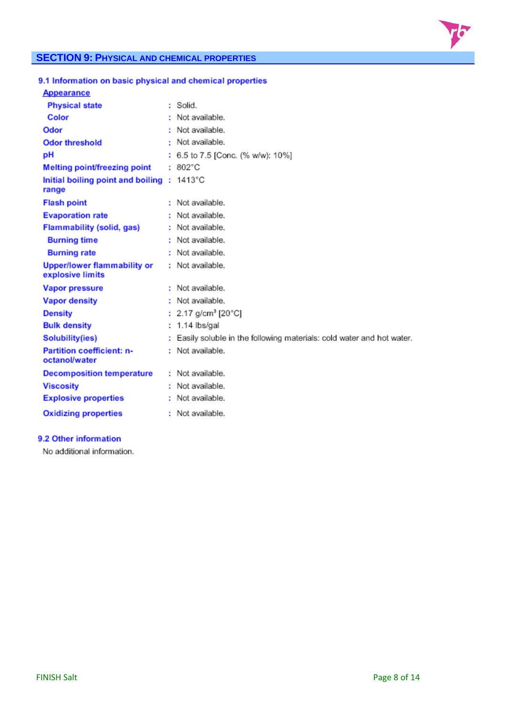

### **SECTION 9: PHYSICAL AND CHEMICAL PROPERTIES**

| 9.1 Information on basic physical and chemical properties |                                                                      |
|-----------------------------------------------------------|----------------------------------------------------------------------|
| <b>Appearance</b>                                         |                                                                      |
| <b>Physical state</b>                                     | : Solid.                                                             |
| Color                                                     | : Not available.                                                     |
| Odor                                                      | : Not available.                                                     |
| <b>Odor threshold</b>                                     | : Not available.                                                     |
| рH                                                        | : 6.5 to 7.5 [Conc. (% w/w): 10%]                                    |
| <b>Melting point/freezing point</b>                       | $: 802^{\circ}$ C                                                    |
| Initial boiling point and boiling : 1413°C<br>range       |                                                                      |
| <b>Flash point</b>                                        | : Not available.                                                     |
| <b>Evaporation rate</b>                                   | : Not available.                                                     |
| <b>Flammability (solid, gas)</b>                          | : Not available.                                                     |
| <b>Burning time</b>                                       | : Not available.                                                     |
| <b>Burning rate</b>                                       | : Not available.                                                     |
| <b>Upper/lower flammability or</b><br>explosive limits    | : Not available.                                                     |
| <b>Vapor pressure</b>                                     | : Not available.                                                     |
| <b>Vapor density</b>                                      | : Not available.                                                     |
| <b>Density</b>                                            | : 2.17 $g/cm^3$ [20 $°C$ ]                                           |
| <b>Bulk density</b>                                       | : 1.14 lbs/gal                                                       |
| Solubility(ies)                                           | Easily soluble in the following materials: cold water and hot water. |
| <b>Partition coefficient: n-</b><br>octanol/water         | : Not available.                                                     |
| <b>Decomposition temperature</b>                          | : Not available.                                                     |
| <b>Viscosity</b>                                          | : Not available.                                                     |
| <b>Explosive properties</b>                               | : Not available.                                                     |
| <b>Oxidizing properties</b>                               | : Not available.                                                     |

### 9.2 Other information

No additional information.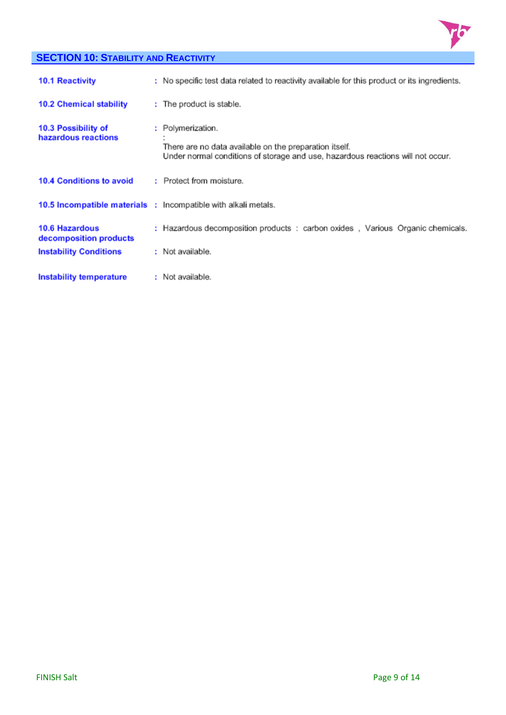

### **SECTION 10: STABILITY AND REACTIVITY**

| <b>10.1 Reactivity</b>                          | : No specific test data related to reactivity available for this product or its ingredients.                                                                   |
|-------------------------------------------------|----------------------------------------------------------------------------------------------------------------------------------------------------------------|
| <b>10.2 Chemical stability</b>                  | : The product is stable.                                                                                                                                       |
| 10.3 Possibility of<br>hazardous reactions      | : Polymerization.<br>There are no data available on the preparation itself.<br>Under normal conditions of storage and use, hazardous reactions will not occur. |
| 10.4 Conditions to avoid                        | : Protect from moisture.                                                                                                                                       |
|                                                 | <b>10.5 Incompatible materials : Incompatible with alkali metals.</b>                                                                                          |
| <b>10.6 Hazardous</b><br>decomposition products | : Hazardous decomposition products : carbon oxides, Various Organic chemicals.                                                                                 |
| <b>Instability Conditions</b>                   | : Not available.                                                                                                                                               |
| Instability temperature                         | : Not available.                                                                                                                                               |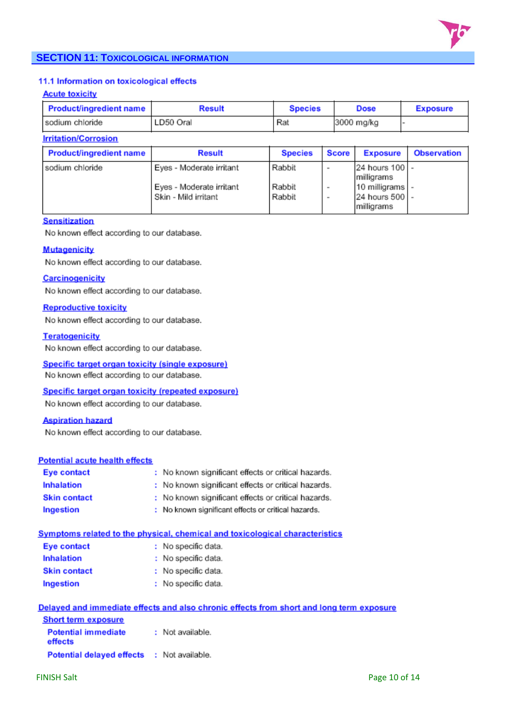

### **SECTION 11: TOXICOLOGICAL INFORMATION**

#### 11.1 Information on toxicological effects

#### **Acute toxicity**

| Product/ingredient name | <b>Result</b> | <b>Species</b> | <b>Dose</b> | <b>Exposure</b> |
|-------------------------|---------------|----------------|-------------|-----------------|
| sodium chloride         | LD50 Oral     | Rat            | 3000 mg/kg  |                 |

#### **Irritation/Corrosion**

| Product/ingredient name | <b>Result</b>            | <b>Species</b> | <b>Score</b> | <b>Exposure</b>               | <b>Observation</b> |
|-------------------------|--------------------------|----------------|--------------|-------------------------------|--------------------|
| sodium chloride         | Eyes - Moderate irritant | Rabbit         | ۰            | 24 hours 100 -<br>milligrams  |                    |
|                         | Eyes - Moderate irritant | Rabbit         | ۰            | 10 milligrams -               |                    |
|                         | Skin - Mild irritant     | Rabbit         | ٠            | 24 hours 500  -<br>milligrams |                    |

#### **Sensitization**

No known effect according to our database.

#### **Mutagenicity**

No known effect according to our database.

#### **Carcinogenicity**

No known effect according to our database.

#### **Reproductive toxicity**

No known effect according to our database.

#### **Teratogenicity**

No known effect according to our database.

## Specific target organ toxicity (single exposure)

No known effect according to our database.

#### Specific target organ toxicity (repeated exposure)

No known effect according to our database.

#### **Aspiration hazard**

No known effect according to our database.

#### **Potential acute health effects**

| <b>Eye contact</b>  | : No known significant effects or critical hazards. |
|---------------------|-----------------------------------------------------|
| <b>Inhalation</b>   | : No known significant effects or critical hazards. |
| <b>Skin contact</b> | : No known significant effects or critical hazards. |
| Ingestion           | : No known significant effects or critical hazards. |

#### Symptoms related to the physical, chemical and toxicological characteristics

| <b>Eye contact</b>  | : No specific data. |
|---------------------|---------------------|
| <b>Inhalation</b>   | : No specific data. |
| <b>Skin contact</b> | : No specific data. |
| Ingestion           | No specific data.   |

|                                                   | Delayed and immediate effects and also chronic effects from short and long term exposure |
|---------------------------------------------------|------------------------------------------------------------------------------------------|
| <b>Short term exposure</b>                        |                                                                                          |
| <b>Potential immediate</b><br>effects             | : Not available.                                                                         |
| <b>Potential delayed effects : Not available.</b> |                                                                                          |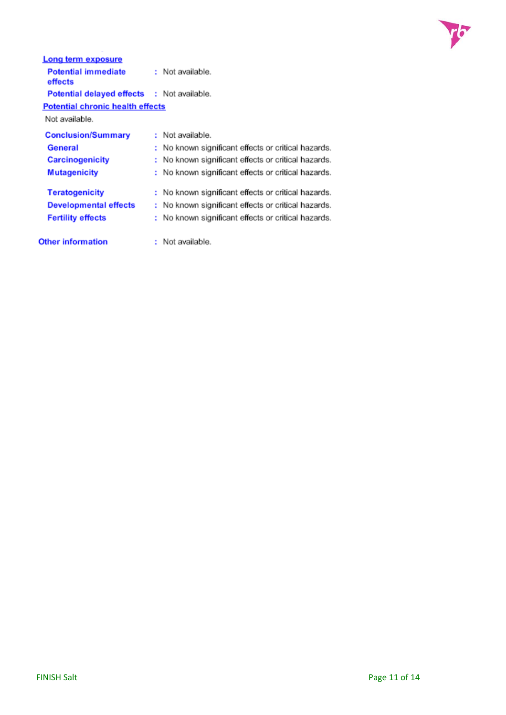

| Long term exposure                         |                                                     |
|--------------------------------------------|-----------------------------------------------------|
| <b>Potential immediate</b><br>effects      | : Not available.                                    |
| Potential delayed effects : Not available. |                                                     |
| <b>Potential chronic health effects</b>    |                                                     |
| Not available.                             |                                                     |
| <b>Conclusion/Summary</b>                  | : Not available.                                    |
| General                                    | : No known significant effects or critical hazards. |
| <b>Carcinogenicity</b>                     | : No known significant effects or critical hazards. |
| <b>Mutagenicity</b>                        | : No known significant effects or critical hazards. |
| <b>Teratogenicity</b>                      | : No known significant effects or critical hazards. |
| <b>Developmental effects</b>               | No known significant effects or critical hazards.   |
| <b>Fertility effects</b>                   | No known significant effects or critical hazards.   |
| <b>Other information</b>                   | Not available.                                      |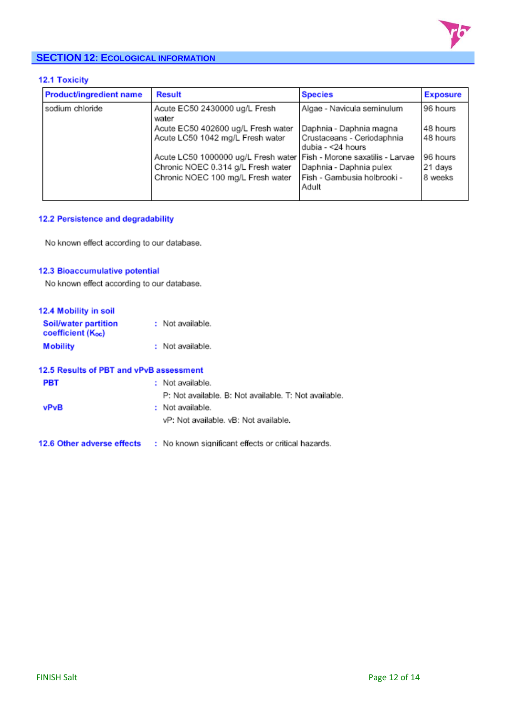

### **SECTION 12: ECOLOGICAL INFORMATION**

#### 12.1 Toxicity

| <b>Product/ingredient name</b> | <b>Result</b>                                                          | <b>Species</b>                       | <b>Exposure</b> |
|--------------------------------|------------------------------------------------------------------------|--------------------------------------|-----------------|
| sodium chloride                | Acute EC50 2430000 ug/L Fresh<br>water                                 | Algae - Navicula seminulum           | 96 hours        |
|                                | Acute EC50 402600 ug/L Fresh water                                     | Daphnia - Daphnia magna              | 48 hours        |
|                                | Acute LC50 1042 mg/L Fresh water                                       | Crustaceans - Ceriodaphnia           | 48 hours        |
|                                |                                                                        | dubia - < 24 hours                   |                 |
|                                | Acute LC50 1000000 ug/L Fresh water   Fish - Morone saxatilis - Larvae |                                      | 96 hours        |
|                                | Chronic NOEC 0.314 g/L Fresh water                                     | Daphnia - Daphnia pulex              | 21 days         |
|                                | Chronic NOEC 100 mg/L Fresh water                                      | Fish - Gambusia holbrooki -<br>Adult | 8 weeks         |
|                                |                                                                        |                                      |                 |

### 12.2 Persistence and degradability

No known effect according to our database.

#### 12.3 Bioaccumulative potential

No known effect according to our database.

| 12.4 Mobility in soil                     |                  |
|-------------------------------------------|------------------|
| Soil/water partition<br>coefficient (Koc) | : Not available. |
| <b>Mobility</b>                           | : Not available. |

| 12.5 Results of PBT and vPvB assessment |                                                       |
|-----------------------------------------|-------------------------------------------------------|
| <b>PBT</b>                              | : Not available.                                      |
|                                         | P: Not available. B: Not available. T: Not available. |
| <b>vPvB</b>                             | : Not available.                                      |
|                                         | vP: Not available, vB: Not available.                 |
|                                         |                                                       |
| 12.6 Other adverse effects              | : No known significant effects or critical hazards.   |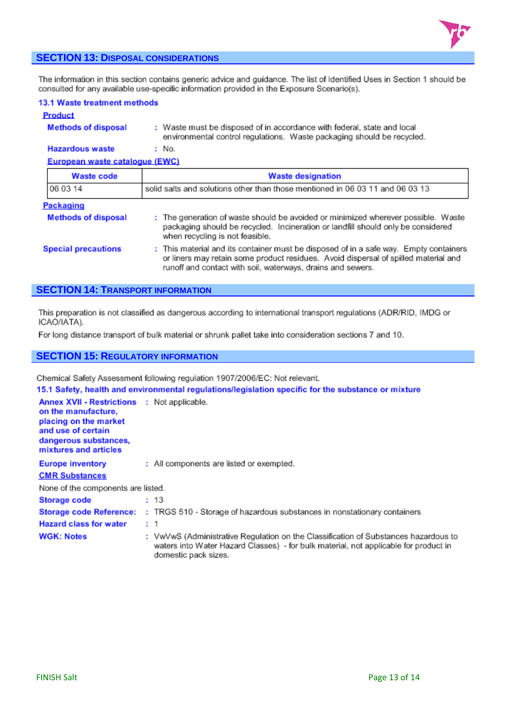

#### **SECTION 13: DISPOSAL CONSIDERATIONS**

The information in this section contains generic advice and guidance. The list of Identified Uses in Section 1 should be consulted for any available use-specific information provided in the Exposure Scenario(s).

|                | 13.1 Waste treatment methods |
|----------------|------------------------------|
| <b>Product</b> |                              |

#### **Methods of disposal** : Waste must be disposed of in accordance with federal, state and local environmental control regulations. Waste packaging should be recycled.

#### **Hazardous waste** : No. European waste catalogue (EWC)

| <u>EMPLOYEES WARNER DESIGNER IN ITEL</u> |                                                                                                                                                                                                                                             |
|------------------------------------------|---------------------------------------------------------------------------------------------------------------------------------------------------------------------------------------------------------------------------------------------|
| <b>Waste code</b>                        | <b>Waste designation</b>                                                                                                                                                                                                                    |
| 06 03 14                                 | solid salts and solutions other than those mentioned in 06 03 11 and 06 03 13                                                                                                                                                               |
| Packaging                                |                                                                                                                                                                                                                                             |
| <b>Methods of disposal</b>               | : The generation of waste should be avoided or minimized wherever possible. Waste<br>packaging should be recycled. Incineration or landfill should only be considered<br>when recycling is not feasible.                                    |
| <b>Special precautions</b>               | : This material and its container must be disposed of in a safe way. Empty containers<br>or liners may retain some product residues. Avoid dispersal of spilled material and<br>runoff and contact with soil, waterways, drains and sewers. |

#### **SECTION 14: TRANSPORT INFORMATION**

This preparation is not classified as dangerous according to international transport regulations (ADR/RID, IMDG or ICAO/IATA).

For long distance transport of bulk material or shrunk pallet take into consideration sections 7 and 10.

#### **SECTION 15: REGULATORY INFORMATION**

Chemical Safety Assessment following regulation 1907/2006/EC: Not relevant.

15.1 Safety, health and environmental regulations/legislation specific for the substance or mixture

| <b>Annex XVII - Restrictions</b><br>on the manufacture.<br>placing on the market<br>and use of certain<br>dangerous substances,<br>mixtures and articles | : Not applicable.                                                                                                                                                                                   |
|----------------------------------------------------------------------------------------------------------------------------------------------------------|-----------------------------------------------------------------------------------------------------------------------------------------------------------------------------------------------------|
| <b>Europe inventory</b>                                                                                                                                  | : All components are listed or exempted.                                                                                                                                                            |
| <b>CMR Substances</b>                                                                                                                                    |                                                                                                                                                                                                     |
| None of the components are listed.                                                                                                                       |                                                                                                                                                                                                     |
| <b>Storage code</b>                                                                                                                                      | : 13                                                                                                                                                                                                |
|                                                                                                                                                          | Storage code Reference: : TRGS 510 - Storage of hazardous substances in nonstationary containers                                                                                                    |
| <b>Hazard class for water</b>                                                                                                                            | : 1                                                                                                                                                                                                 |
| <b>WGK: Notes</b>                                                                                                                                        | : VwVwS (Administrative Regulation on the Classification of Substances hazardous to<br>waters into Water Hazard Classes) - for bulk material, not applicable for product in<br>domestic pack sizes. |